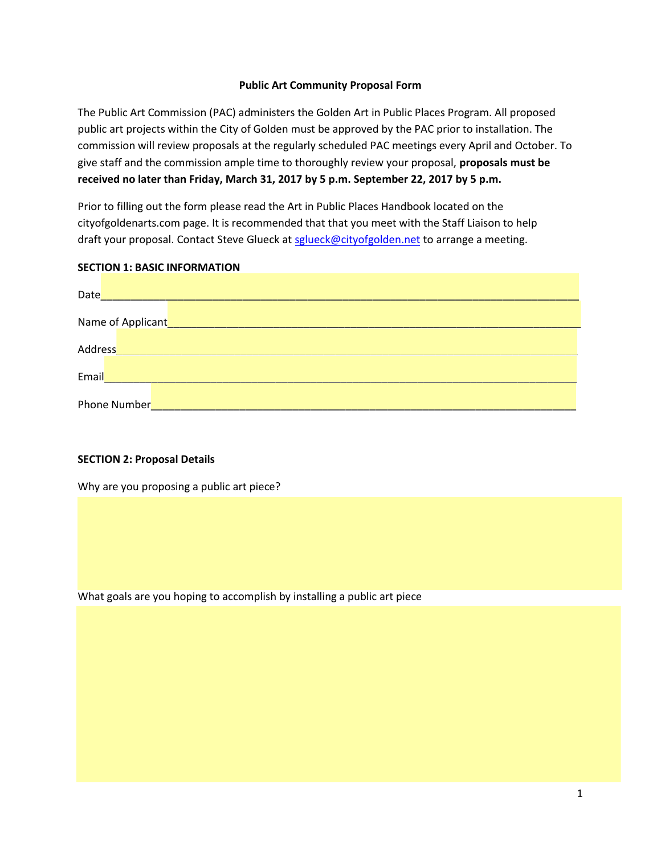### **Public Art Community Proposal Form**

The Public Art Commission (PAC) administers the Golden Art in Public Places Program. All proposed public art projects within the City of Golden must be approved by the PAC prior to installation. The commission will review proposals at the regularly scheduled PAC meetings every April and October. To give staff and the commission ample time to thoroughly review your proposal, **proposals must be received no later than Friday, March 31, 2017 by 5 p.m. September 22, 2017 by 5 p.m.** 

Prior to filling out the form please read the Art in Public Places Handbook located on the cityofgoldenarts.com page. It is recommended that that you meet with the Staff Liaison to help draft your proposal. Contact Steve Glueck at [sglueck@cityofgolden.net](mailto:amenefee@cityofgolden.net) to arrange a meeting.

#### **SECTION 1: BASIC INFORMATION**

| Date    | <u> 1989 - Johann Stein, mars an deutscher Stein und der Stein und der Stein und der Stein und der Stein und der</u>   |  |
|---------|------------------------------------------------------------------------------------------------------------------------|--|
|         |                                                                                                                        |  |
| Address | <u> 1989 - Johann Stein, marwolaethau a bhann an t-Albann an t-Albann an t-Albann an t-Albann an t-Albann an t-Alb</u> |  |
| Email   |                                                                                                                        |  |
|         | Phone Number                                                                                                           |  |

### **SECTION 2: Proposal Details**

Why are you proposing a public art piece?

What goals are you hoping to accomplish by installing a public art piece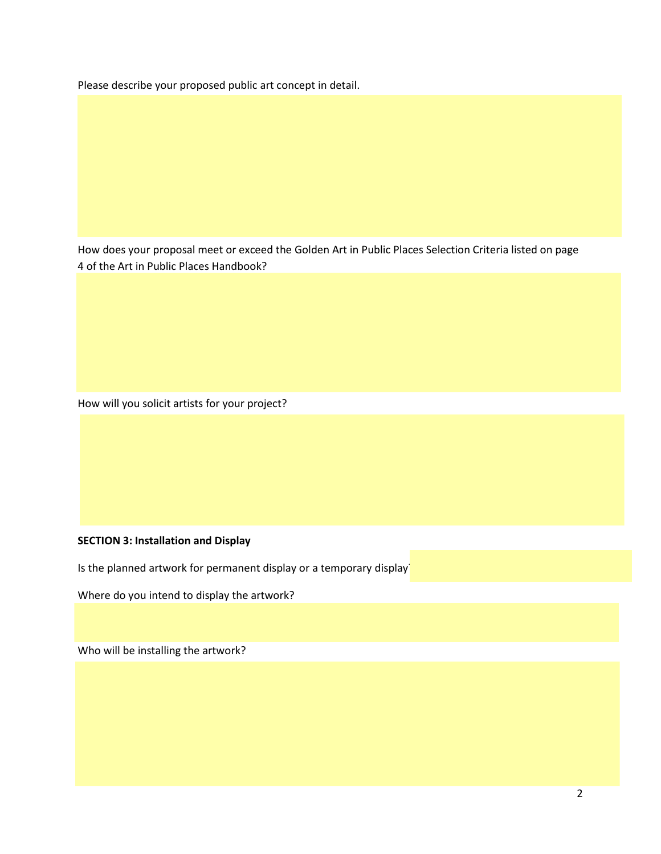Please describe your proposed public art concept in detail.

How does your proposal meet or exceed the Golden Art in Public Places Selection Criteria listed on page 4 of the Art in Public Places Handbook?

How will you solicit artists for your project?

# **SECTION 3: Installation and Display**

Is the planned artwork for permanent display or a temporary display

Where do you intend to display the artwork?

Who will be installing the artwork?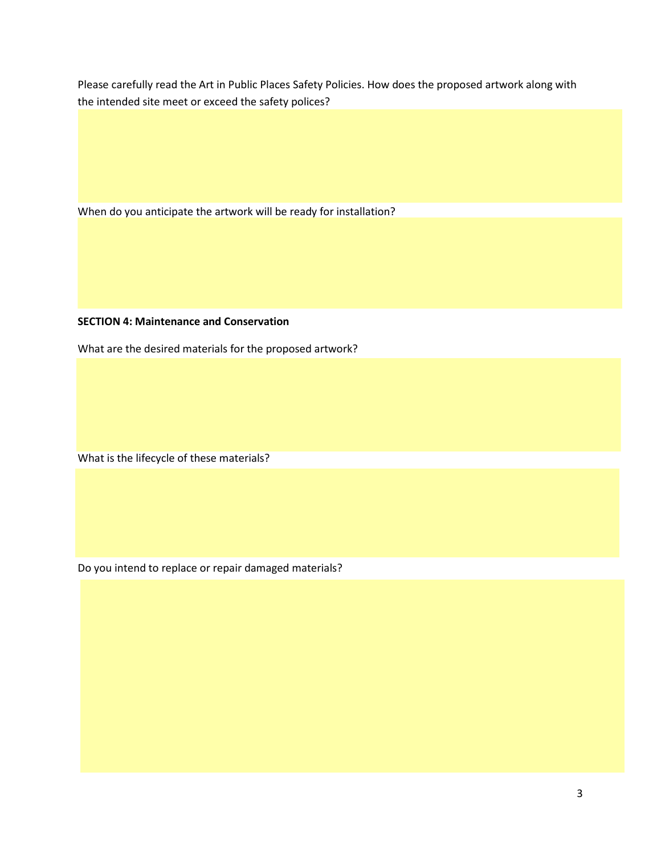Please carefully read the Art in Public Places Safety Policies. How does the proposed artwork along with the intended site meet or exceed the safety polices?

When do you anticipate the artwork will be ready for installation?

# **SECTION 4: Maintenance and Conservation**

What are the desired materials for the proposed artwork?

What is the lifecycle of these materials?

Do you intend to replace or repair damaged materials?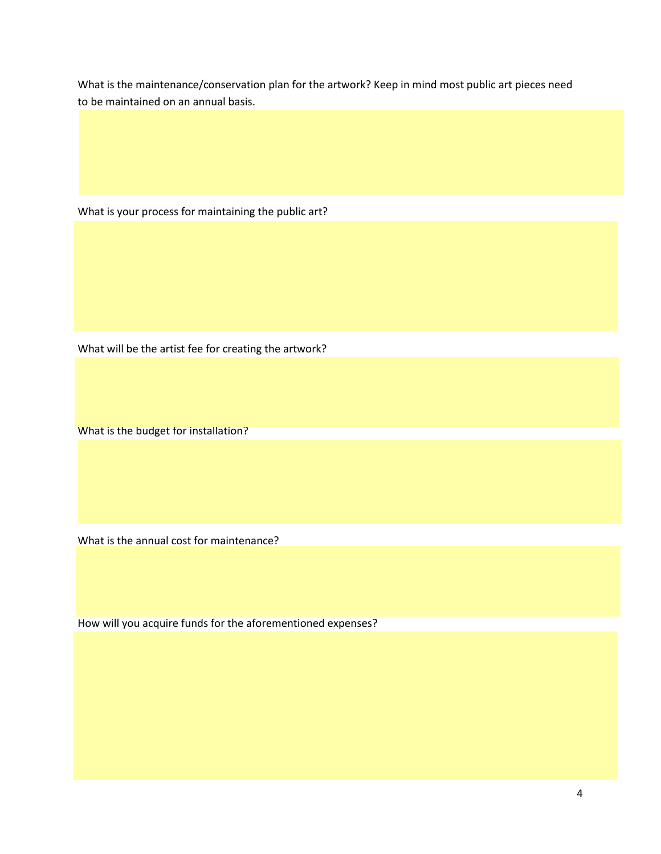What is the maintenance/conservation plan for the artwork? Keep in mind most public art pieces need to be maintained on an annual basis.

What is your process for maintaining the public art?

What will be the artist fee for creating the artwork?

What is the budget for installation?

What is the annual cost for maintenance?

How will you acquire funds for the aforementioned expenses?